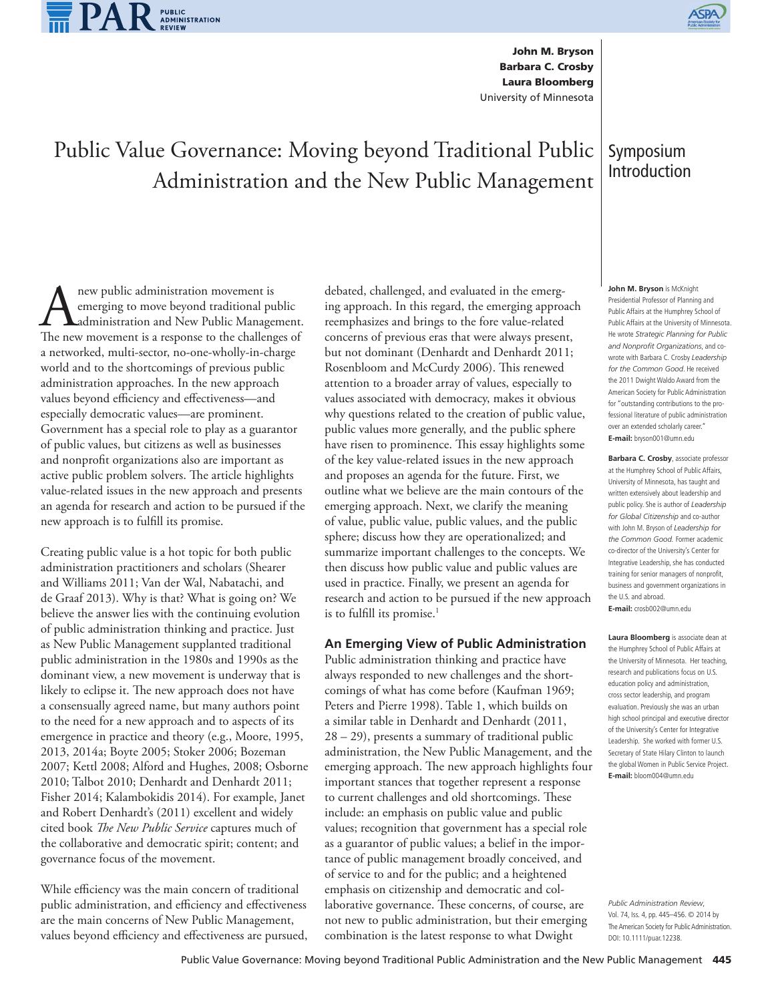

**John M. Bryson Barbara C. Crosby Laura Bloomberg**  University of Minnesota

# Public Value Governance: Moving beyond Traditional Public Administration and the New Public Management

A new public administration movement is<br>emerging to move beyond traditional pu<br>The new movement is a response to the challeng emerging to move beyond traditional public administration and New Public Management. The new movement is a response to the challenges of a networked, multi-sector, no-one-wholly-in-charge world and to the shortcomings of previous public administration approaches. In the new approach values beyond efficiency and effectiveness-and especially democratic values—are prominent. Government has a special role to play as a guarantor of public values, but citizens as well as businesses and nonprofit organizations also are important as active public problem solvers. The article highlights value-related issues in the new approach and presents an agenda for research and action to be pursued if the new approach is to fulfill its promise.

Creating public value is a hot topic for both public administration practitioners and scholars (Shearer and Williams 2011; Van der Wal, Nabatachi, and de Graaf 2013). Why is that? What is going on? We believe the answer lies with the continuing evolution of public administration thinking and practice. Just as New Public Management supplanted traditional public administration in the 1980s and 1990s as the dominant view, a new movement is underway that is likely to eclipse it. The new approach does not have a consensually agreed name, but many authors point to the need for a new approach and to aspects of its emergence in practice and theory (e.g., Moore, 1995, 2013, 2014a; Boyte 2005; Stoker 2006; Bozeman 2007; Kettl 2008; Alford and Hughes, 2008; Osborne 2010; Talbot 2010; Denhardt and Denhardt 2011; Fisher 2014; Kalambokidis 2014). For example, Janet and Robert Denhardt's (2011) excellent and widely cited book *The New Public Service* captures much of the collaborative and democratic spirit; content; and governance focus of the movement.

While efficiency was the main concern of traditional public administration, and efficiency and effectiveness are the main concerns of New Public Management, values beyond efficiency and effectiveness are pursued, debated, challenged, and evaluated in the emerging approach. In this regard, the emerging approach reemphasizes and brings to the fore value-related concerns of previous eras that were always present, but not dominant (Denhardt and Denhardt 2011; Rosenbloom and McCurdy 2006). This renewed attention to a broader array of values, especially to values associated with democracy, makes it obvious why questions related to the creation of public value, public values more generally, and the public sphere have risen to prominence. This essay highlights some of the key value-related issues in the new approach and proposes an agenda for the future. First, we outline what we believe are the main contours of the emerging approach. Next, we clarify the meaning of value, public value, public values, and the public sphere; discuss how they are operationalized; and summarize important challenges to the concepts. We then discuss how public value and public values are used in practice. Finally, we present an agenda for research and action to be pursued if the new approach is to fulfill its promise.<sup>1</sup>

#### **An Emerging View of Public Administration**

Public administration thinking and practice have always responded to new challenges and the shortcomings of what has come before (Kaufman 1969; Peters and Pierre 1998). Table 1, which builds on a similar table in Denhardt and Denhardt (2011, 28 – 29), presents a summary of traditional public administration, the New Public Management, and the emerging approach. The new approach highlights four important stances that together represent a response to current challenges and old shortcomings. These include: an emphasis on public value and public values; recognition that government has a special role as a guarantor of public values; a belief in the importance of public management broadly conceived, and of service to and for the public; and a heightened emphasis on citizenship and democratic and collaborative governance. These concerns, of course, are not new to public administration, but their emerging combination is the latest response to what Dwight

## Symposium Introduction

#### **John M. Bryson** is McKnight

Presidential Professor of Planning and Public Affairs at the Humphrey School of Public Affairs at the University of Minnesota. He wrote *Strategic Planning for Public*  and Nonprofit Organizations, and cowrote with Barbara C. Crosby *Leadership for the Common Good*. He received the 2011 Dwight Waldo Award from the American Society for Public Administration for "outstanding contributions to the professional literature of public administration over an extended scholarly career." **E-mail:** bryson001@umn.edu

**Barbara C. Crosby**, associate professor at the Humphrey School of Public Affairs, University of Minnesota, has taught and written extensively about leadership and public policy. She is author of *Leadership for Global Citizenship* and co-author with John M. Bryson of *Leadership for the Common Good.* Former academic co-director of the University's Center for Integrative Leadership, she has conducted training for senior managers of nonprofit, business and government organizations in the U.S. and abroad. **E-mail:** crosb002@umn.edu

**Laura Bloomberg** is associate dean at the Humphrey School of Public Affairs at the University of Minnesota. Her teaching, research and publications focus on U.S. education policy and administration, cross sector leadership, and program evaluation. Previously she was an urban high school principal and executive director of the University's Center for Integrative Leadership. She worked with former U.S. Secretary of State Hilary Clinton to launch the global Women in Public Service Project. **E-mail:** bloom004@umn.edu

*Public Administration Review*, Vol. 74, Iss. 4, pp. 445–456. © 2014 by The American Society for Public Administration. DOI: 10.1111/puar.12238.

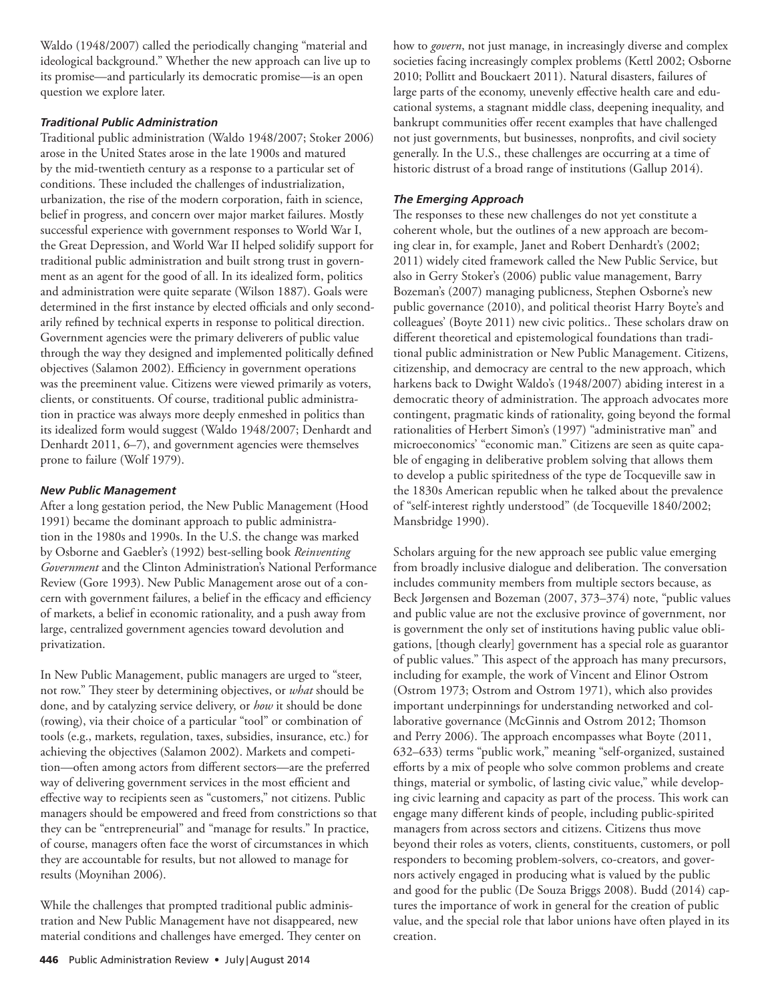Waldo (1948/2007) called the periodically changing "material and ideological background." Whether the new approach can live up to its promise—and particularly its democratic promise—is an open question we explore later.

#### *Traditional Public Administration*

Traditional public administration (Waldo 1948/2007; Stoker 2006) arose in the United States arose in the late 1900s and matured by the mid-twentieth century as a response to a particular set of conditions. These included the challenges of industrialization, urbanization, the rise of the modern corporation, faith in science, belief in progress, and concern over major market failures. Mostly successful experience with government responses to World War I, the Great Depression, and World War II helped solidify support for traditional public administration and built strong trust in government as an agent for the good of all. In its idealized form, politics and administration were quite separate (Wilson 1887). Goals were determined in the first instance by elected officials and only secondarily refined by technical experts in response to political direction. Government agencies were the primary deliverers of public value through the way they designed and implemented politically defined objectives (Salamon 2002). Efficiency in government operations was the preeminent value. Citizens were viewed primarily as voters, clients, or constituents. Of course, traditional public administration in practice was always more deeply enmeshed in politics than its idealized form would suggest (Waldo 1948/2007; Denhardt and Denhardt 2011, 6–7), and government agencies were themselves prone to failure (Wolf 1979).

#### *New Public Management*

After a long gestation period, the New Public Management (Hood 1991) became the dominant approach to public administration in the 1980s and 1990s. In the U.S. the change was marked by Osborne and Gaebler's (1992) best-selling book *Reinventing Government* and the Clinton Administration's National Performance Review (Gore 1993). New Public Management arose out of a concern with government failures, a belief in the efficacy and efficiency of markets, a belief in economic rationality, and a push away from large, centralized government agencies toward devolution and privatization.

In New Public Management, public managers are urged to "steer, not row." They steer by determining objectives, or *what* should be done, and by catalyzing service delivery, or *how* it should be done (rowing), via their choice of a particular "tool" or combination of tools (e.g., markets, regulation, taxes, subsidies, insurance, etc.) for achieving the objectives (Salamon 2002). Markets and competition—often among actors from different sectors—are the preferred way of delivering government services in the most efficient and effective way to recipients seen as "customers," not citizens. Public managers should be empowered and freed from constrictions so that they can be "entrepreneurial" and "manage for results." In practice, of course, managers often face the worst of circumstances in which they are accountable for results, but not allowed to manage for results (Moynihan 2006).

While the challenges that prompted traditional public administration and New Public Management have not disappeared, new material conditions and challenges have emerged. They center on how to *govern*, not just manage, in increasingly diverse and complex societies facing increasingly complex problems (Kettl 2002; Osborne 2010; Pollitt and Bouckaert 2011). Natural disasters, failures of large parts of the economy, unevenly effective health care and educational systems, a stagnant middle class, deepening inequality, and bankrupt communities offer recent examples that have challenged not just governments, but businesses, nonprofits, and civil society generally. In the U.S., these challenges are occurring at a time of historic distrust of a broad range of institutions (Gallup 2014).

#### *The Emerging Approach*

The responses to these new challenges do not yet constitute a coherent whole, but the outlines of a new approach are becoming clear in, for example, Janet and Robert Denhardt's (2002; 2011) widely cited framework called the New Public Service, but also in Gerry Stoker's (2006) public value management, Barry Bozeman's (2007) managing publicness, Stephen Osborne's new public governance (2010), and political theorist Harry Boyte's and colleagues' (Boyte 2011) new civic politics.. These scholars draw on different theoretical and epistemological foundations than traditional public administration or New Public Management. Citizens, citizenship, and democracy are central to the new approach, which harkens back to Dwight Waldo's (1948/2007) abiding interest in a democratic theory of administration. The approach advocates more contingent, pragmatic kinds of rationality, going beyond the formal rationalities of Herbert Simon's (1997) "administrative man" and microeconomics' "economic man." Citizens are seen as quite capable of engaging in deliberative problem solving that allows them to develop a public spiritedness of the type de Tocqueville saw in the 1830s American republic when he talked about the prevalence of "self-interest rightly understood" (de Tocqueville 1840/2002; Mansbridge 1990).

Scholars arguing for the new approach see public value emerging from broadly inclusive dialogue and deliberation. The conversation includes community members from multiple sectors because, as Beck Jørgensen and Bozeman (2007, 373–374) note, "public values and public value are not the exclusive province of government, nor is government the only set of institutions having public value obligations, [though clearly] government has a special role as guarantor of public values." This aspect of the approach has many precursors, including for example, the work of Vincent and Elinor Ostrom (Ostrom 1973; Ostrom and Ostrom 1971), which also provides important underpinnings for understanding networked and collaborative governance (McGinnis and Ostrom 2012; Thomson and Perry 2006). The approach encompasses what Boyte (2011, 632–633) terms "public work," meaning "self-organized, sustained efforts by a mix of people who solve common problems and create things, material or symbolic, of lasting civic value," while developing civic learning and capacity as part of the process. This work can engage many different kinds of people, including public-spirited managers from across sectors and citizens. Citizens thus move beyond their roles as voters, clients, constituents, customers, or poll responders to becoming problem-solvers, co-creators, and governors actively engaged in producing what is valued by the public and good for the public (De Souza Briggs 2008). Budd (2014) captures the importance of work in general for the creation of public value, and the special role that labor unions have often played in its creation.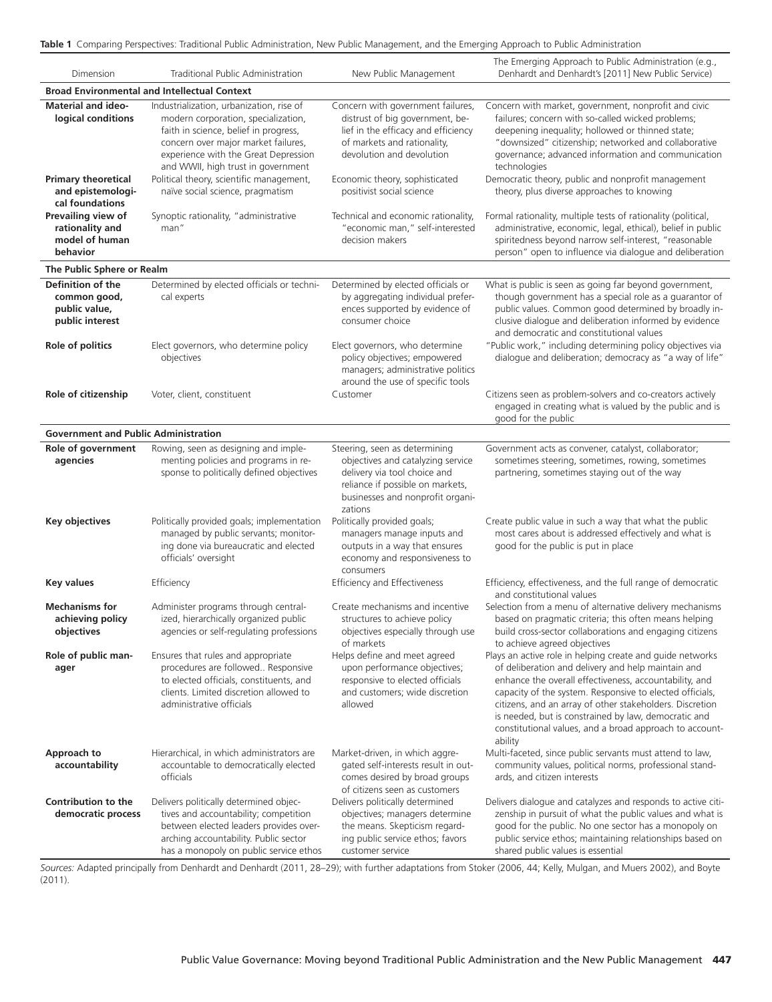**Table 1** Comparing Perspectives: Traditional Public Administration, New Public Management, and the Emerging Approach to Public Administration

|                                                                            |                                                                                                                                                                                                                                               |                                                                                                                                                                                       | The Emerging Approach to Public Administration (e.g.,                                                                                                                                                                                                                                                                                                                                                                           |
|----------------------------------------------------------------------------|-----------------------------------------------------------------------------------------------------------------------------------------------------------------------------------------------------------------------------------------------|---------------------------------------------------------------------------------------------------------------------------------------------------------------------------------------|---------------------------------------------------------------------------------------------------------------------------------------------------------------------------------------------------------------------------------------------------------------------------------------------------------------------------------------------------------------------------------------------------------------------------------|
| Dimension                                                                  | Traditional Public Administration                                                                                                                                                                                                             | New Public Management                                                                                                                                                                 | Denhardt and Denhardt's [2011] New Public Service)                                                                                                                                                                                                                                                                                                                                                                              |
|                                                                            | <b>Broad Environmental and Intellectual Context</b>                                                                                                                                                                                           |                                                                                                                                                                                       |                                                                                                                                                                                                                                                                                                                                                                                                                                 |
| <b>Material and ideo-</b><br>logical conditions                            | Industrialization, urbanization, rise of<br>modern corporation, specialization,<br>faith in science, belief in progress,<br>concern over major market failures,<br>experience with the Great Depression<br>and WWII, high trust in government | Concern with government failures,<br>distrust of big government, be-<br>lief in the efficacy and efficiency<br>of markets and rationality,<br>devolution and devolution               | Concern with market, government, nonprofit and civic<br>failures; concern with so-called wicked problems;<br>deepening inequality; hollowed or thinned state;<br>"downsized" citizenship; networked and collaborative<br>governance; advanced information and communication<br>technologies                                                                                                                                     |
| <b>Primary theoretical</b><br>and epistemologi-<br>cal foundations         | Political theory, scientific management,<br>naïve social science, pragmatism                                                                                                                                                                  | Economic theory, sophisticated<br>positivist social science                                                                                                                           | Democratic theory, public and nonprofit management<br>theory, plus diverse approaches to knowing                                                                                                                                                                                                                                                                                                                                |
| Prevailing view of<br>rationality and<br>model of human<br><b>behavior</b> | Synoptic rationality, "administrative<br>man"                                                                                                                                                                                                 | Technical and economic rationality,<br>"economic man," self-interested<br>decision makers                                                                                             | Formal rationality, multiple tests of rationality (political,<br>administrative, economic, legal, ethical), belief in public<br>spiritedness beyond narrow self-interest, "reasonable<br>person" open to influence via dialogue and deliberation                                                                                                                                                                                |
| The Public Sphere or Realm                                                 |                                                                                                                                                                                                                                               |                                                                                                                                                                                       |                                                                                                                                                                                                                                                                                                                                                                                                                                 |
| Definition of the<br>common good,<br>public value,<br>public interest      | Determined by elected officials or techni-<br>cal experts                                                                                                                                                                                     | Determined by elected officials or<br>by aggregating individual prefer-<br>ences supported by evidence of<br>consumer choice                                                          | What is public is seen as going far beyond government,<br>though government has a special role as a guarantor of<br>public values. Common good determined by broadly in-<br>clusive dialogue and deliberation informed by evidence<br>and democratic and constitutional values                                                                                                                                                  |
| Role of politics                                                           | Elect governors, who determine policy<br>objectives                                                                                                                                                                                           | Elect governors, who determine<br>policy objectives; empowered<br>managers; administrative politics<br>around the use of specific tools                                               | "Public work," including determining policy objectives via<br>dialogue and deliberation; democracy as "a way of life"                                                                                                                                                                                                                                                                                                           |
| Role of citizenship                                                        | Voter, client, constituent                                                                                                                                                                                                                    | Customer                                                                                                                                                                              | Citizens seen as problem-solvers and co-creators actively<br>engaged in creating what is valued by the public and is<br>good for the public                                                                                                                                                                                                                                                                                     |
| <b>Government and Public Administration</b>                                |                                                                                                                                                                                                                                               |                                                                                                                                                                                       |                                                                                                                                                                                                                                                                                                                                                                                                                                 |
| Role of government<br>agencies                                             | Rowing, seen as designing and imple-<br>menting policies and programs in re-<br>sponse to politically defined objectives                                                                                                                      | Steering, seen as determining<br>objectives and catalyzing service<br>delivery via tool choice and<br>reliance if possible on markets,<br>businesses and nonprofit organi-<br>zations | Government acts as convener, catalyst, collaborator;<br>sometimes steering, sometimes, rowing, sometimes<br>partnering, sometimes staying out of the way                                                                                                                                                                                                                                                                        |
| <b>Key objectives</b>                                                      | Politically provided goals; implementation<br>managed by public servants; monitor-<br>ing done via bureaucratic and elected<br>officials' oversight                                                                                           | Politically provided goals;<br>managers manage inputs and<br>outputs in a way that ensures<br>economy and responsiveness to<br>consumers                                              | Create public value in such a way that what the public<br>most cares about is addressed effectively and what is<br>good for the public is put in place                                                                                                                                                                                                                                                                          |
| <b>Key values</b>                                                          | Efficiency                                                                                                                                                                                                                                    | Efficiency and Effectiveness                                                                                                                                                          | Efficiency, effectiveness, and the full range of democratic<br>and constitutional values                                                                                                                                                                                                                                                                                                                                        |
| <b>Mechanisms for</b><br>achieving policy<br>objectives                    | Administer programs through central-<br>ized, hierarchically organized public<br>agencies or self-regulating professions                                                                                                                      | Create mechanisms and incentive<br>structures to achieve policy<br>objectives especially through use<br>of markets                                                                    | Selection from a menu of alternative delivery mechanisms<br>based on pragmatic criteria; this often means helping<br>build cross-sector collaborations and engaging citizens<br>to achieve agreed objectives                                                                                                                                                                                                                    |
| Role of public man-<br>ager                                                | Ensures that rules and appropriate<br>procedures are followed Responsive<br>to elected officials, constituents, and<br>clients. Limited discretion allowed to<br>administrative officials                                                     | Helps define and meet agreed<br>upon performance objectives;<br>responsive to elected officials<br>and customers; wide discretion<br>allowed                                          | Plays an active role in helping create and guide networks<br>of deliberation and delivery and help maintain and<br>enhance the overall effectiveness, accountability, and<br>capacity of the system. Responsive to elected officials,<br>citizens, and an array of other stakeholders. Discretion<br>is needed, but is constrained by law, democratic and<br>constitutional values, and a broad approach to account-<br>ability |
| Approach to<br>accountability                                              | Hierarchical, in which administrators are<br>accountable to democratically elected<br>officials                                                                                                                                               | Market-driven, in which aggre-<br>gated self-interests result in out-<br>comes desired by broad groups<br>of citizens seen as customers                                               | Multi-faceted, since public servants must attend to law,<br>community values, political norms, professional stand-<br>ards, and citizen interests                                                                                                                                                                                                                                                                               |
| Contribution to the<br>democratic process                                  | Delivers politically determined objec-<br>tives and accountability; competition<br>between elected leaders provides over-<br>arching accountability. Public sector<br>has a monopoly on public service ethos                                  | Delivers politically determined<br>objectives; managers determine<br>the means. Skepticism regard-<br>ing public service ethos; favors<br>customer service                            | Delivers dialogue and catalyzes and responds to active citi-<br>zenship in pursuit of what the public values and what is<br>good for the public. No one sector has a monopoly on<br>public service ethos; maintaining relationships based on<br>shared public values is essential                                                                                                                                               |

*Sources:* Adapted principally from Denhardt and Denhardt (2011, 28–29); with further adaptations from Stoker (2006, 44; Kelly, Mulgan, and Muers 2002), and Boyte (2011).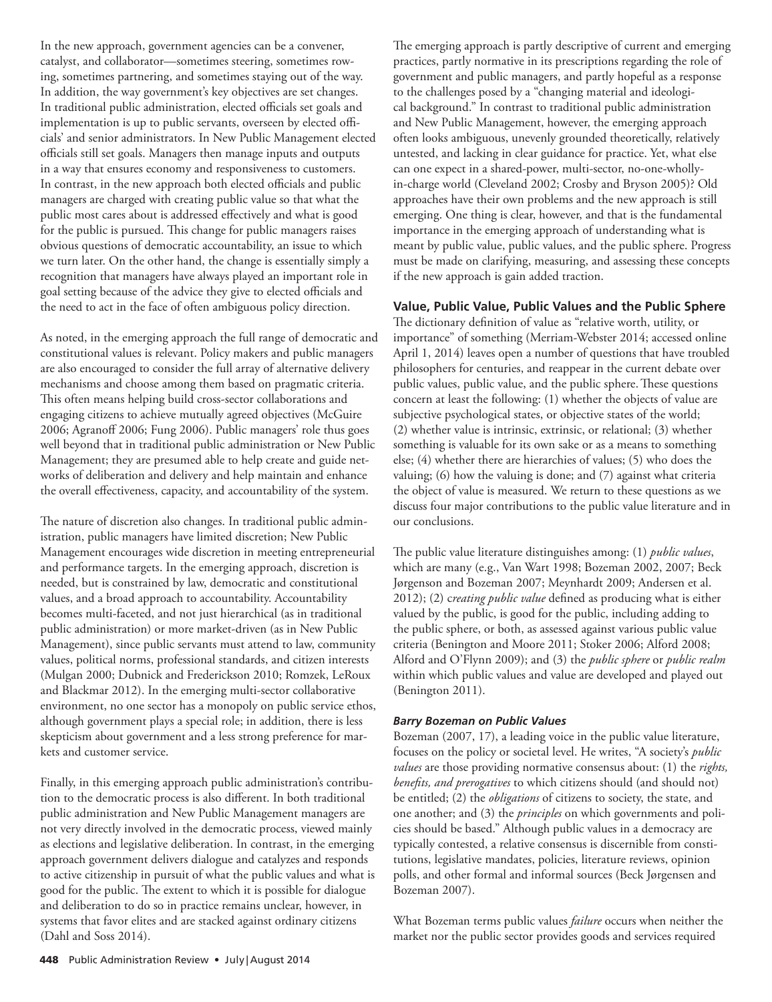In the new approach, government agencies can be a convener, catalyst, and collaborator—sometimes steering, sometimes rowing, sometimes partnering, and sometimes staying out of the way. In addition, the way government's key objectives are set changes. In traditional public administration, elected officials set goals and implementation is up to public servants, overseen by elected officials' and senior administrators. In New Public Management elected officials still set goals. Managers then manage inputs and outputs in a way that ensures economy and responsiveness to customers. In contrast, in the new approach both elected officials and public managers are charged with creating public value so that what the public most cares about is addressed effectively and what is good for the public is pursued. This change for public managers raises obvious questions of democratic accountability, an issue to which we turn later. On the other hand, the change is essentially simply a recognition that managers have always played an important role in goal setting because of the advice they give to elected officials and the need to act in the face of often ambiguous policy direction.

As noted, in the emerging approach the full range of democratic and constitutional values is relevant. Policy makers and public managers are also encouraged to consider the full array of alternative delivery mechanisms and choose among them based on pragmatic criteria. This often means helping build cross-sector collaborations and engaging citizens to achieve mutually agreed objectives (McGuire 2006; Agranoff 2006; Fung 2006). Public managers' role thus goes well beyond that in traditional public administration or New Public Management; they are presumed able to help create and guide networks of deliberation and delivery and help maintain and enhance the overall effectiveness, capacity, and accountability of the system.

The nature of discretion also changes. In traditional public administration, public managers have limited discretion; New Public Management encourages wide discretion in meeting entrepreneurial and performance targets. In the emerging approach, discretion is needed, but is constrained by law, democratic and constitutional values, and a broad approach to accountability. Accountability becomes multi-faceted, and not just hierarchical (as in traditional public administration) or more market-driven (as in New Public Management), since public servants must attend to law, community values, political norms, professional standards, and citizen interests (Mulgan 2000; Dubnick and Frederickson 2010; Romzek, LeRoux and Blackmar 2012). In the emerging multi-sector collaborative environment, no one sector has a monopoly on public service ethos, although government plays a special role; in addition, there is less skepticism about government and a less strong preference for markets and customer service.

Finally, in this emerging approach public administration's contribution to the democratic process is also different. In both traditional public administration and New Public Management managers are not very directly involved in the democratic process, viewed mainly as elections and legislative deliberation. In contrast, in the emerging approach government delivers dialogue and catalyzes and responds to active citizenship in pursuit of what the public values and what is good for the public. The extent to which it is possible for dialogue and deliberation to do so in practice remains unclear, however, in systems that favor elites and are stacked against ordinary citizens (Dahl and Soss 2014).

The emerging approach is partly descriptive of current and emerging practices, partly normative in its prescriptions regarding the role of government and public managers, and partly hopeful as a response to the challenges posed by a "changing material and ideological background." In contrast to traditional public administration and New Public Management, however, the emerging approach often looks ambiguous, unevenly grounded theoretically, relatively untested, and lacking in clear guidance for practice. Yet, what else can one expect in a shared-power, multi-sector, no-one-whollyin-charge world (Cleveland 2002; Crosby and Bryson 2005)? Old approaches have their own problems and the new approach is still emerging. One thing is clear, however, and that is the fundamental importance in the emerging approach of understanding what is meant by public value, public values, and the public sphere. Progress must be made on clarifying, measuring, and assessing these concepts if the new approach is gain added traction.

#### **Value, Public Value, Public Values and the Public Sphere**

The dictionary definition of value as "relative worth, utility, or importance" of something (Merriam-Webster 2014; accessed online April 1, 2014) leaves open a number of questions that have troubled philosophers for centuries, and reappear in the current debate over public values, public value, and the public sphere. These questions concern at least the following: (1) whether the objects of value are subjective psychological states, or objective states of the world; (2) whether value is intrinsic, extrinsic, or relational; (3) whether something is valuable for its own sake or as a means to something else; (4) whether there are hierarchies of values; (5) who does the valuing; (6) how the valuing is done; and (7) against what criteria the object of value is measured. We return to these questions as we discuss four major contributions to the public value literature and in our conclusions.

The public value literature distinguishes among: (1) *public values*, which are many (e.g., Van Wart 1998; Bozeman 2002, 2007; Beck Jørgenson and Bozeman 2007; Meynhardt 2009; Andersen et al. 2012); (2) creating public value defined as producing what is either valued by the public, is good for the public, including adding to the public sphere, or both, as assessed against various public value criteria (Benington and Moore 2011; Stoker 2006; Alford 2008; Alford and O'Flynn 2009); and (3) the *public sphere* or *public realm* within which public values and value are developed and played out (Benington 2011).

#### *Barry Bozeman on Public Values*

Bozeman (2007, 17), a leading voice in the public value literature, focuses on the policy or societal level. He writes, "A society's *public values* are those providing normative consensus about: (1) the *rights,*  benefits, and prerogatives to which citizens should (and should not) be entitled; (2) the *obligations* of citizens to society, the state, and one another; and (3) the *principles* on which governments and policies should be based." Although public values in a democracy are typically contested, a relative consensus is discernible from constitutions, legislative mandates, policies, literature reviews, opinion polls, and other formal and informal sources (Beck Jørgensen and Bozeman 2007).

What Bozeman terms public values *failure* occurs when neither the market nor the public sector provides goods and services required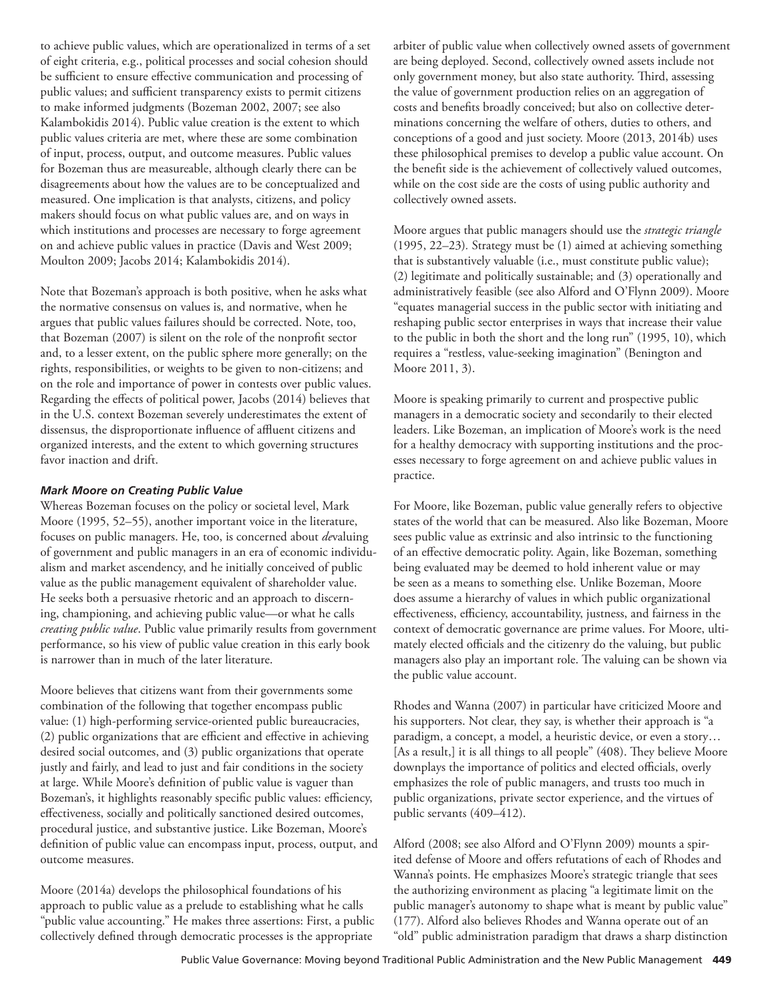to achieve public values, which are operationalized in terms of a set of eight criteria, e.g., political processes and social cohesion should be sufficient to ensure effective communication and processing of public values; and sufficient transparency exists to permit citizens to make informed judgments (Bozeman 2002, 2007; see also Kalambokidis 2014). Public value creation is the extent to which public values criteria are met, where these are some combination of input, process, output, and outcome measures. Public values for Bozeman thus are measureable, although clearly there can be disagreements about how the values are to be conceptualized and measured. One implication is that analysts, citizens, and policy makers should focus on what public values are, and on ways in which institutions and processes are necessary to forge agreement on and achieve public values in practice (Davis and West 2009; Moulton 2009; Jacobs 2014; Kalambokidis 2014).

Note that Bozeman's approach is both positive, when he asks what the normative consensus on values is, and normative, when he argues that public values failures should be corrected. Note, too, that Bozeman (2007) is silent on the role of the nonprofit sector and, to a lesser extent, on the public sphere more generally; on the rights, responsibilities, or weights to be given to non-citizens; and on the role and importance of power in contests over public values. Regarding the effects of political power, Jacobs (2014) believes that in the U.S. context Bozeman severely underestimates the extent of dissensus, the disproportionate influence of affluent citizens and organized interests, and the extent to which governing structures favor inaction and drift.

#### *Mark Moore on Creating Public Value*

Whereas Bozeman focuses on the policy or societal level, Mark Moore (1995, 52–55), another important voice in the literature, focuses on public managers. He, too, is concerned about *de*valuing of government and public managers in an era of economic individualism and market ascendency, and he initially conceived of public value as the public management equivalent of shareholder value. He seeks both a persuasive rhetoric and an approach to discerning, championing, and achieving public value—or what he calls *creating public value*. Public value primarily results from government performance, so his view of public value creation in this early book is narrower than in much of the later literature.

Moore believes that citizens want from their governments some combination of the following that together encompass public value: (1) high-performing service-oriented public bureaucracies, (2) public organizations that are efficient and effective in achieving desired social outcomes, and (3) public organizations that operate justly and fairly, and lead to just and fair conditions in the society at large. While Moore's definition of public value is vaguer than Bozeman's, it highlights reasonably specific public values: efficiency, effectiveness, socially and politically sanctioned desired outcomes, procedural justice, and substantive justice. Like Bozeman, Moore's definition of public value can encompass input, process, output, and outcome measures.

Moore (2014a) develops the philosophical foundations of his approach to public value as a prelude to establishing what he calls "public value accounting." He makes three assertions: First, a public collectively defined through democratic processes is the appropriate

arbiter of public value when collectively owned assets of government are being deployed. Second, collectively owned assets include not only government money, but also state authority. Third, assessing the value of government production relies on an aggregation of costs and benefits broadly conceived; but also on collective determinations concerning the welfare of others, duties to others, and conceptions of a good and just society. Moore (2013, 2014b) uses these philosophical premises to develop a public value account. On the benefit side is the achievement of collectively valued outcomes, while on the cost side are the costs of using public authority and collectively owned assets.

Moore argues that public managers should use the *strategic triangle* (1995, 22–23)*.* Strategy must be (1) aimed at achieving something that is substantively valuable (i.e., must constitute public value); (2) legitimate and politically sustainable; and (3) operationally and administratively feasible (see also Alford and O'Flynn 2009). Moore "equates managerial success in the public sector with initiating and reshaping public sector enterprises in ways that increase their value to the public in both the short and the long run" (1995, 10), which requires a "restless, value-seeking imagination" (Benington and Moore 2011, 3).

Moore is speaking primarily to current and prospective public managers in a democratic society and secondarily to their elected leaders. Like Bozeman, an implication of Moore's work is the need for a healthy democracy with supporting institutions and the processes necessary to forge agreement on and achieve public values in practice.

For Moore, like Bozeman, public value generally refers to objective states of the world that can be measured. Also like Bozeman, Moore sees public value as extrinsic and also intrinsic to the functioning of an effective democratic polity. Again, like Bozeman, something being evaluated may be deemed to hold inherent value or may be seen as a means to something else. Unlike Bozeman, Moore does assume a hierarchy of values in which public organizational effectiveness, efficiency, accountability, justness, and fairness in the context of democratic governance are prime values. For Moore, ultimately elected officials and the citizenry do the valuing, but public managers also play an important role. The valuing can be shown via the public value account.

Rhodes and Wanna (2007) in particular have criticized Moore and his supporters. Not clear, they say, is whether their approach is "a paradigm, a concept, a model, a heuristic device, or even a story… [As a result,] it is all things to all people" (408). They believe Moore downplays the importance of politics and elected officials, overly emphasizes the role of public managers, and trusts too much in public organizations, private sector experience, and the virtues of public servants (409–412).

Alford (2008; see also Alford and O'Flynn 2009) mounts a spirited defense of Moore and offers refutations of each of Rhodes and Wanna's points. He emphasizes Moore's strategic triangle that sees the authorizing environment as placing "a legitimate limit on the public manager's autonomy to shape what is meant by public value" (177). Alford also believes Rhodes and Wanna operate out of an "old" public administration paradigm that draws a sharp distinction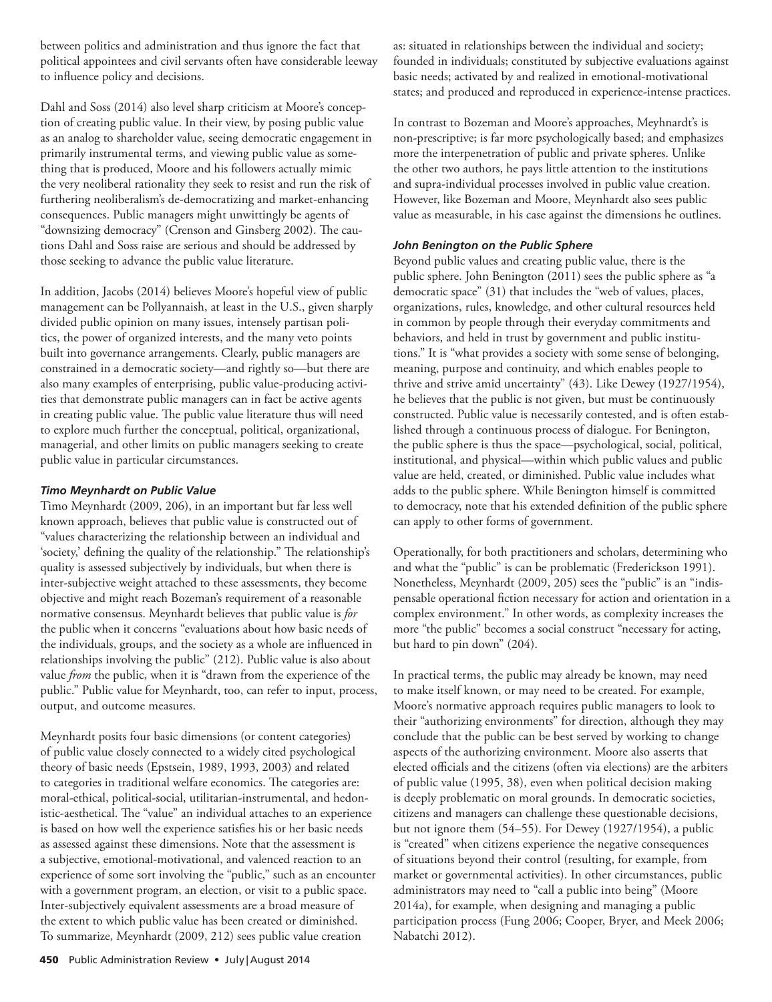between politics and administration and thus ignore the fact that political appointees and civil servants often have considerable leeway to influence policy and decisions.

Dahl and Soss (2014) also level sharp criticism at Moore's conception of creating public value. In their view, by posing public value as an analog to shareholder value, seeing democratic engagement in primarily instrumental terms, and viewing public value as something that is produced, Moore and his followers actually mimic the very neoliberal rationality they seek to resist and run the risk of furthering neoliberalism's de-democratizing and market-enhancing consequences. Public managers might unwittingly be agents of "downsizing democracy" (Crenson and Ginsberg 2002). The cautions Dahl and Soss raise are serious and should be addressed by those seeking to advance the public value literature.

In addition, Jacobs (2014) believes Moore's hopeful view of public management can be Pollyannaish, at least in the U.S., given sharply divided public opinion on many issues, intensely partisan politics, the power of organized interests, and the many veto points built into governance arrangements. Clearly, public managers are constrained in a democratic society—and rightly so—but there are also many examples of enterprising, public value-producing activities that demonstrate public managers can in fact be active agents in creating public value. The public value literature thus will need to explore much further the conceptual, political, organizational, managerial, and other limits on public managers seeking to create public value in particular circumstances.

#### *Timo Meynhardt on Public Value*

Timo Meynhardt (2009, 206), in an important but far less well known approach, believes that public value is constructed out of "values characterizing the relationship between an individual and 'society,' defining the quality of the relationship." The relationship's quality is assessed subjectively by individuals, but when there is inter-subjective weight attached to these assessments, they become objective and might reach Bozeman's requirement of a reasonable normative consensus. Meynhardt believes that public value is *for* the public when it concerns "evaluations about how basic needs of the individuals, groups, and the society as a whole are influenced in relationships involving the public" (212). Public value is also about value *from* the public, when it is "drawn from the experience of the public." Public value for Meynhardt, too, can refer to input, process, output, and outcome measures.

Meynhardt posits four basic dimensions (or content categories) of public value closely connected to a widely cited psychological theory of basic needs (Epstsein, 1989, 1993, 2003) and related to categories in traditional welfare economics. The categories are: moral-ethical, political-social, utilitarian-instrumental, and hedonistic-aesthetical. The "value" an individual attaches to an experience is based on how well the experience satisfies his or her basic needs as assessed against these dimensions. Note that the assessment is a subjective, emotional-motivational, and valenced reaction to an experience of some sort involving the "public," such as an encounter with a government program, an election, or visit to a public space. Inter-subjectively equivalent assessments are a broad measure of the extent to which public value has been created or diminished. To summarize, Meynhardt (2009, 212) sees public value creation

as: situated in relationships between the individual and society; founded in individuals; constituted by subjective evaluations against basic needs; activated by and realized in emotional-motivational states; and produced and reproduced in experience-intense practices.

In contrast to Bozeman and Moore's approaches, Meyhnardt's is non-prescriptive; is far more psychologically based; and emphasizes more the interpenetration of public and private spheres. Unlike the other two authors, he pays little attention to the institutions and supra-individual processes involved in public value creation. However, like Bozeman and Moore, Meynhardt also sees public value as measurable, in his case against the dimensions he outlines.

## *John Benington on the Public Sphere*

Beyond public values and creating public value, there is the public sphere. John Benington (2011) sees the public sphere as "a democratic space" (31) that includes the "web of values, places, organizations, rules, knowledge, and other cultural resources held in common by people through their everyday commitments and behaviors, and held in trust by government and public institutions." It is "what provides a society with some sense of belonging, meaning, purpose and continuity, and which enables people to thrive and strive amid uncertainty" (43). Like Dewey (1927/1954), he believes that the public is not given, but must be continuously constructed. Public value is necessarily contested, and is often established through a continuous process of dialogue. For Benington, the public sphere is thus the space—psychological, social, political, institutional, and physical—within which public values and public value are held, created, or diminished. Public value includes what adds to the public sphere. While Benington himself is committed to democracy, note that his extended definition of the public sphere can apply to other forms of government.

Operationally, for both practitioners and scholars, determining who and what the "public" is can be problematic (Frederickson 1991). Nonetheless, Meynhardt (2009, 205) sees the "public" is an "indispensable operational fiction necessary for action and orientation in a complex environment." In other words, as complexity increases the more "the public" becomes a social construct "necessary for acting, but hard to pin down" (204).

In practical terms, the public may already be known, may need to make itself known, or may need to be created. For example, Moore's normative approach requires public managers to look to their "authorizing environments" for direction, although they may conclude that the public can be best served by working to change aspects of the authorizing environment. Moore also asserts that elected officials and the citizens (often via elections) are the arbiters of public value (1995, 38), even when political decision making is deeply problematic on moral grounds. In democratic societies, citizens and managers can challenge these questionable decisions, but not ignore them (54–55). For Dewey (1927/1954), a public is "created" when citizens experience the negative consequences of situations beyond their control (resulting, for example, from market or governmental activities). In other circumstances, public administrators may need to "call a public into being" (Moore 2014a), for example, when designing and managing a public participation process (Fung 2006; Cooper, Bryer, and Meek 2006; Nabatchi 2012).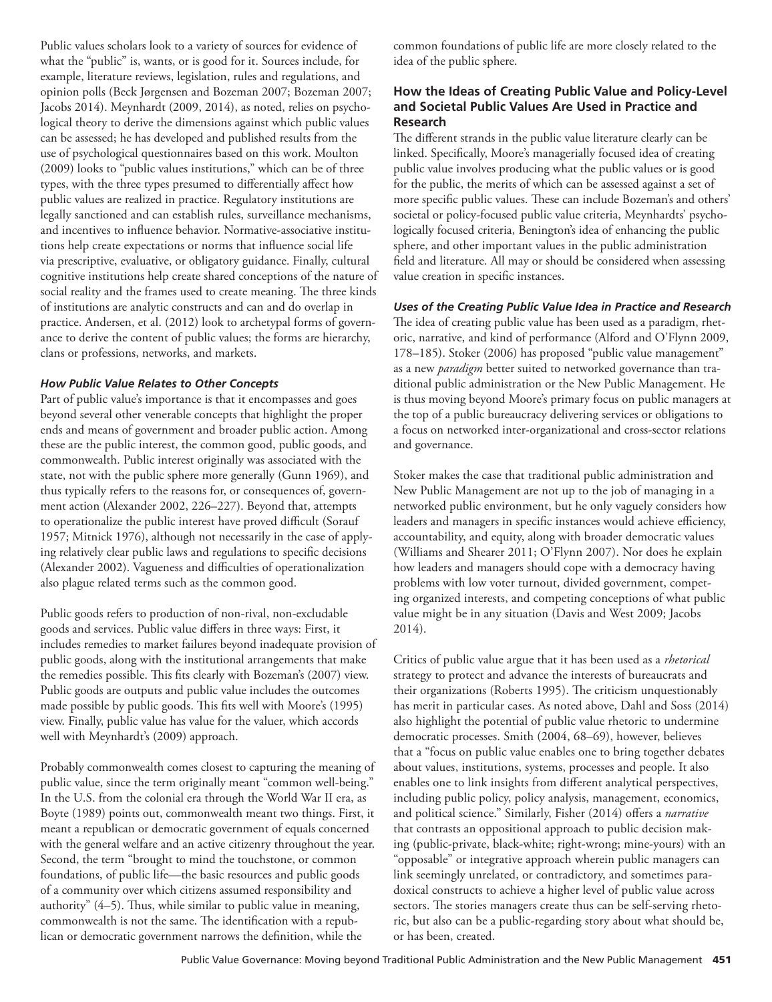Public values scholars look to a variety of sources for evidence of what the "public" is, wants, or is good for it. Sources include, for example, literature reviews, legislation, rules and regulations, and opinion polls (Beck Jørgensen and Bozeman 2007; Bozeman 2007; Jacobs 2014). Meynhardt (2009, 2014), as noted, relies on psychological theory to derive the dimensions against which public values can be assessed; he has developed and published results from the use of psychological questionnaires based on this work. Moulton (2009) looks to "public values institutions," which can be of three types, with the three types presumed to differentially affect how public values are realized in practice. Regulatory institutions are legally sanctioned and can establish rules, surveillance mechanisms, and incentives to influence behavior. Normative-associative institutions help create expectations or norms that influence social life via prescriptive, evaluative, or obligatory guidance. Finally, cultural cognitive institutions help create shared conceptions of the nature of social reality and the frames used to create meaning. The three kinds of institutions are analytic constructs and can and do overlap in practice. Andersen, et al. (2012) look to archetypal forms of governance to derive the content of public values; the forms are hierarchy, clans or professions, networks, and markets.

#### *How Public Value Relates to Other Concepts*

Part of public value's importance is that it encompasses and goes beyond several other venerable concepts that highlight the proper ends and means of government and broader public action. Among these are the public interest, the common good, public goods, and commonwealth. Public interest originally was associated with the state, not with the public sphere more generally (Gunn 1969), and thus typically refers to the reasons for, or consequences of, government action (Alexander 2002, 226–227). Beyond that, attempts to operationalize the public interest have proved difficult (Sorauf 1957; Mitnick 1976), although not necessarily in the case of applying relatively clear public laws and regulations to specific decisions (Alexander 2002). Vagueness and difficulties of operationalization also plague related terms such as the common good.

Public goods refers to production of non-rival, non-excludable goods and services. Public value differs in three ways: First, it includes remedies to market failures beyond inadequate provision of public goods, along with the institutional arrangements that make the remedies possible. This fits clearly with Bozeman's (2007) view. Public goods are outputs and public value includes the outcomes made possible by public goods. This fits well with Moore's (1995) view. Finally, public value has value for the valuer, which accords well with Meynhardt's (2009) approach.

Probably commonwealth comes closest to capturing the meaning of public value, since the term originally meant "common well-being." In the U.S. from the colonial era through the World War II era, as Boyte (1989) points out, commonwealth meant two things. First, it meant a republican or democratic government of equals concerned with the general welfare and an active citizenry throughout the year. Second, the term "brought to mind the touchstone, or common foundations, of public life—the basic resources and public goods of a community over which citizens assumed responsibility and authority"  $(4-5)$ . Thus, while similar to public value in meaning, commonwealth is not the same. The identification with a republican or democratic government narrows the definition, while the

common foundations of public life are more closely related to the idea of the public sphere.

#### **How the Ideas of Creating Public Value and Policy-Level and Societal Public Values Are Used in Practice and Research**

The different strands in the public value literature clearly can be linked. Specifically, Moore's managerially focused idea of creating public value involves producing what the public values or is good for the public, the merits of which can be assessed against a set of more specific public values. These can include Bozeman's and others' societal or policy-focused public value criteria, Meynhardts' psychologically focused criteria, Benington's idea of enhancing the public sphere, and other important values in the public administration field and literature. All may or should be considered when assessing value creation in specific instances.

#### *Uses of the Creating Public Value Idea in Practice and Research*

The idea of creating public value has been used as a paradigm, rhetoric, narrative, and kind of performance (Alford and O'Flynn 2009, 178–185). Stoker (2006) has proposed "public value management" as a new *paradigm* better suited to networked governance than traditional public administration or the New Public Management. He is thus moving beyond Moore's primary focus on public managers at the top of a public bureaucracy delivering services or obligations to a focus on networked inter-organizational and cross-sector relations and governance.

Stoker makes the case that traditional public administration and New Public Management are not up to the job of managing in a networked public environment, but he only vaguely considers how leaders and managers in specific instances would achieve efficiency, accountability, and equity, along with broader democratic values (Williams and Shearer 2011; O'Flynn 2007). Nor does he explain how leaders and managers should cope with a democracy having problems with low voter turnout, divided government, competing organized interests, and competing conceptions of what public value might be in any situation (Davis and West 2009; Jacobs 2014).

Critics of public value argue that it has been used as a *rhetorical* strategy to protect and advance the interests of bureaucrats and their organizations (Roberts 1995). The criticism unquestionably has merit in particular cases. As noted above, Dahl and Soss (2014) also highlight the potential of public value rhetoric to undermine democratic processes. Smith (2004, 68–69), however, believes that a "focus on public value enables one to bring together debates about values, institutions, systems, processes and people. It also enables one to link insights from different analytical perspectives, including public policy, policy analysis, management, economics, and political science." Similarly, Fisher (2014) offers a *narrative* that contrasts an oppositional approach to public decision making (public-private, black-white; right-wrong; mine-yours) with an "opposable" or integrative approach wherein public managers can link seemingly unrelated, or contradictory, and sometimes paradoxical constructs to achieve a higher level of public value across sectors. The stories managers create thus can be self-serving rhetoric, but also can be a public-regarding story about what should be, or has been, created.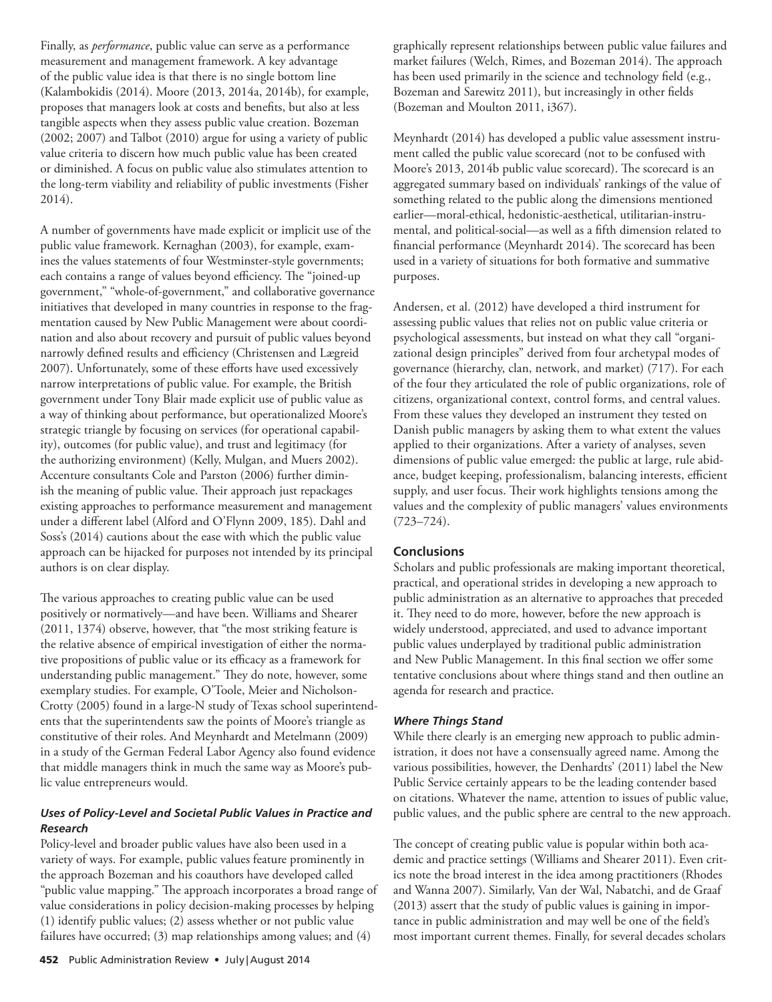Finally, as *performance*, public value can serve as a performance measurement and management framework. A key advantage of the public value idea is that there is no single bottom line (Kalambokidis (2014). Moore (2013, 2014a, 2014b), for example, proposes that managers look at costs and benefits, but also at less tangible aspects when they assess public value creation. Bozeman (2002; 2007) and Talbot (2010) argue for using a variety of public value criteria to discern how much public value has been created or diminished. A focus on public value also stimulates attention to the long-term viability and reliability of public investments (Fisher 2014).

A number of governments have made explicit or implicit use of the public value framework. Kernaghan (2003), for example, examines the values statements of four Westminster-style governments; each contains a range of values beyond efficiency. The "joined-up government," "whole-of-government," and collaborative governance initiatives that developed in many countries in response to the fragmentation caused by New Public Management were about coordination and also about recovery and pursuit of public values beyond narrowly defined results and efficiency (Christensen and Lægreid 2007). Unfortunately, some of these efforts have used excessively narrow interpretations of public value. For example, the British government under Tony Blair made explicit use of public value as a way of thinking about performance, but operationalized Moore's strategic triangle by focusing on services (for operational capability), outcomes (for public value), and trust and legitimacy (for the authorizing environment) (Kelly, Mulgan, and Muers 2002). Accenture consultants Cole and Parston (2006) further diminish the meaning of public value. Their approach just repackages existing approaches to performance measurement and management under a different label (Alford and O'Flynn 2009, 185). Dahl and Soss's (2014) cautions about the ease with which the public value approach can be hijacked for purposes not intended by its principal authors is on clear display.

The various approaches to creating public value can be used positively or normatively—and have been. Williams and Shearer (2011, 1374) observe, however, that "the most striking feature is the relative absence of empirical investigation of either the normative propositions of public value or its efficacy as a framework for understanding public management." They do note, however, some exemplary studies. For example, O'Toole, Meier and Nicholson-Crotty (2005) found in a large-N study of Texas school superintendents that the superintendents saw the points of Moore's triangle as constitutive of their roles. And Meynhardt and Metelmann (2009) in a study of the German Federal Labor Agency also found evidence that middle managers think in much the same way as Moore's public value entrepreneurs would.

### *Uses of Policy-Level and Societal Public Values in Practice and Research*

Policy-level and broader public values have also been used in a variety of ways. For example, public values feature prominently in the approach Bozeman and his coauthors have developed called "public value mapping." The approach incorporates a broad range of value considerations in policy decision-making processes by helping (1) identify public values; (2) assess whether or not public value failures have occurred; (3) map relationships among values; and (4)

graphically represent relationships between public value failures and market failures (Welch, Rimes, and Bozeman 2014). The approach has been used primarily in the science and technology field (e.g., Bozeman and Sarewitz 2011), but increasingly in other fields (Bozeman and Moulton 2011, i367).

Meynhardt (2014) has developed a public value assessment instrument called the public value scorecard (not to be confused with Moore's 2013, 2014b public value scorecard). The scorecard is an aggregated summary based on individuals' rankings of the value of something related to the public along the dimensions mentioned earlier—moral-ethical, hedonistic-aesthetical, utilitarian-instrumental, and political-social—as well as a fifth dimension related to financial performance (Meynhardt 2014). The scorecard has been used in a variety of situations for both formative and summative purposes.

Andersen, et al. (2012) have developed a third instrument for assessing public values that relies not on public value criteria or psychological assessments, but instead on what they call "organizational design principles" derived from four archetypal modes of governance (hierarchy, clan, network, and market) (717). For each of the four they articulated the role of public organizations, role of citizens, organizational context, control forms, and central values. From these values they developed an instrument they tested on Danish public managers by asking them to what extent the values applied to their organizations. After a variety of analyses, seven dimensions of public value emerged: the public at large, rule abidance, budget keeping, professionalism, balancing interests, efficient supply, and user focus. Their work highlights tensions among the values and the complexity of public managers' values environments (723–724).

### **Conclusions**

Scholars and public professionals are making important theoretical, practical, and operational strides in developing a new approach to public administration as an alternative to approaches that preceded it. They need to do more, however, before the new approach is widely understood, appreciated, and used to advance important public values underplayed by traditional public administration and New Public Management. In this final section we offer some tentative conclusions about where things stand and then outline an agenda for research and practice.

#### *Where Things Stand*

While there clearly is an emerging new approach to public administration, it does not have a consensually agreed name. Among the various possibilities, however, the Denhardts' (2011) label the New Public Service certainly appears to be the leading contender based on citations. Whatever the name, attention to issues of public value, public values, and the public sphere are central to the new approach.

The concept of creating public value is popular within both academic and practice settings (Williams and Shearer 2011). Even critics note the broad interest in the idea among practitioners (Rhodes and Wanna 2007). Similarly, Van der Wal, Nabatchi, and de Graaf (2013) assert that the study of public values is gaining in importance in public administration and may well be one of the field's most important current themes. Finally, for several decades scholars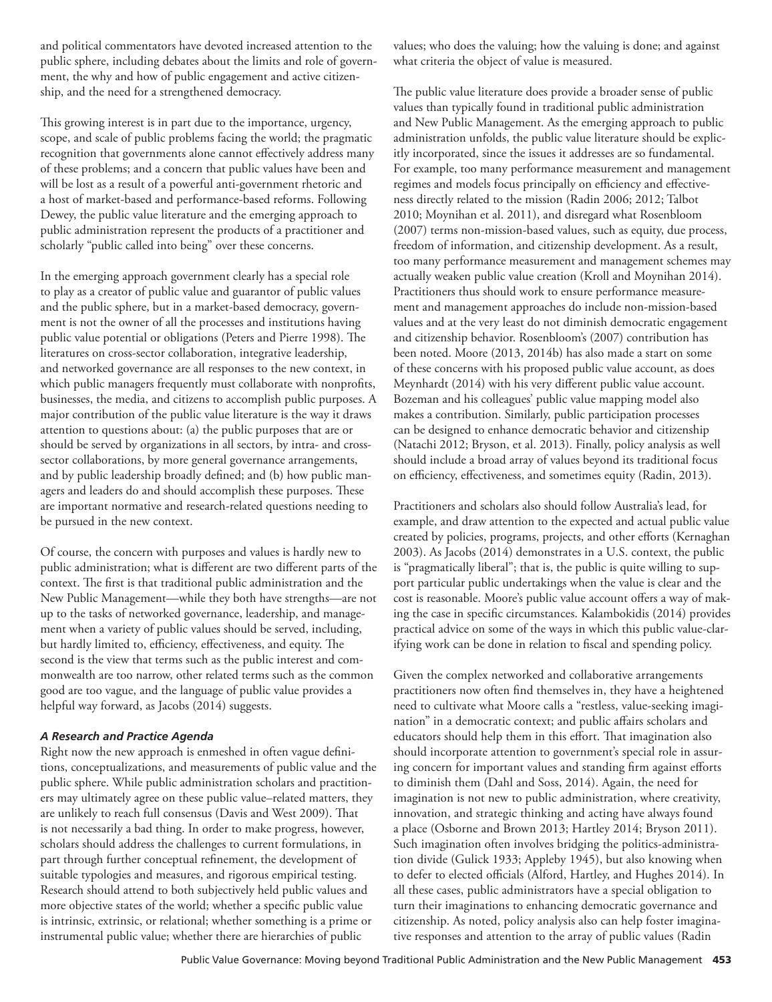and political commentators have devoted increased attention to the public sphere, including debates about the limits and role of government, the why and how of public engagement and active citizenship, and the need for a strengthened democracy.

This growing interest is in part due to the importance, urgency, scope, and scale of public problems facing the world; the pragmatic recognition that governments alone cannot effectively address many of these problems; and a concern that public values have been and will be lost as a result of a powerful anti-government rhetoric and a host of market-based and performance-based reforms. Following Dewey, the public value literature and the emerging approach to public administration represent the products of a practitioner and scholarly "public called into being" over these concerns.

In the emerging approach government clearly has a special role to play as a creator of public value and guarantor of public values and the public sphere, but in a market-based democracy, government is not the owner of all the processes and institutions having public value potential or obligations (Peters and Pierre 1998). The literatures on cross-sector collaboration, integrative leadership, and networked governance are all responses to the new context, in which public managers frequently must collaborate with nonprofits, businesses, the media, and citizens to accomplish public purposes. A major contribution of the public value literature is the way it draws attention to questions about: (a) the public purposes that are or should be served by organizations in all sectors, by intra- and crosssector collaborations, by more general governance arrangements, and by public leadership broadly defined; and (b) how public managers and leaders do and should accomplish these purposes. These are important normative and research-related questions needing to be pursued in the new context.

Of course, the concern with purposes and values is hardly new to public administration; what is different are two different parts of the context. The first is that traditional public administration and the New Public Management—while they both have strengths—are not up to the tasks of networked governance, leadership, and management when a variety of public values should be served, including, but hardly limited to, efficiency, effectiveness, and equity. The second is the view that terms such as the public interest and commonwealth are too narrow, other related terms such as the common good are too vague, and the language of public value provides a helpful way forward, as Jacobs (2014) suggests.

#### *A Research and Practice Agenda*

Right now the new approach is enmeshed in often vague definitions, conceptualizations, and measurements of public value and the public sphere. While public administration scholars and practitioners may ultimately agree on these public value–related matters, they are unlikely to reach full consensus (Davis and West 2009). That is not necessarily a bad thing. In order to make progress, however, scholars should address the challenges to current formulations, in part through further conceptual refinement, the development of suitable typologies and measures, and rigorous empirical testing. Research should attend to both subjectively held public values and more objective states of the world; whether a specific public value is intrinsic, extrinsic, or relational; whether something is a prime or instrumental public value; whether there are hierarchies of public

values; who does the valuing; how the valuing is done; and against what criteria the object of value is measured.

The public value literature does provide a broader sense of public values than typically found in traditional public administration and New Public Management. As the emerging approach to public administration unfolds, the public value literature should be explicitly incorporated, since the issues it addresses are so fundamental. For example, too many performance measurement and management regimes and models focus principally on efficiency and effectiveness directly related to the mission (Radin 2006; 2012; Talbot 2010; Moynihan et al. 2011), and disregard what Rosenbloom (2007) terms non-mission-based values, such as equity, due process, freedom of information, and citizenship development. As a result, too many performance measurement and management schemes may actually weaken public value creation (Kroll and Moynihan 2014). Practitioners thus should work to ensure performance measurement and management approaches do include non-mission-based values and at the very least do not diminish democratic engagement and citizenship behavior. Rosenbloom's (2007) contribution has been noted. Moore (2013, 2014b) has also made a start on some of these concerns with his proposed public value account, as does Meynhardt (2014) with his very different public value account. Bozeman and his colleagues' public value mapping model also makes a contribution. Similarly, public participation processes can be designed to enhance democratic behavior and citizenship (Natachi 2012; Bryson, et al. 2013). Finally, policy analysis as well should include a broad array of values beyond its traditional focus on efficiency, effectiveness, and sometimes equity (Radin, 2013).

Practitioners and scholars also should follow Australia's lead, for example, and draw attention to the expected and actual public value created by policies, programs, projects, and other efforts (Kernaghan 2003). As Jacobs (2014) demonstrates in a U.S. context, the public is "pragmatically liberal"; that is, the public is quite willing to support particular public undertakings when the value is clear and the cost is reasonable. Moore's public value account offers a way of making the case in specific circumstances. Kalambokidis (2014) provides practical advice on some of the ways in which this public value-clarifying work can be done in relation to fiscal and spending policy.

Given the complex networked and collaborative arrangements practitioners now often find themselves in, they have a heightened need to cultivate what Moore calls a "restless, value-seeking imagination" in a democratic context; and public affairs scholars and educators should help them in this effort. That imagination also should incorporate attention to government's special role in assuring concern for important values and standing firm against efforts to diminish them (Dahl and Soss, 2014). Again, the need for imagination is not new to public administration, where creativity, innovation, and strategic thinking and acting have always found a place (Osborne and Brown 2013; Hartley 2014; Bryson 2011). Such imagination often involves bridging the politics-administration divide (Gulick 1933; Appleby 1945), but also knowing when to defer to elected officials (Alford, Hartley, and Hughes 2014). In all these cases, public administrators have a special obligation to turn their imaginations to enhancing democratic governance and citizenship. As noted, policy analysis also can help foster imaginative responses and attention to the array of public values (Radin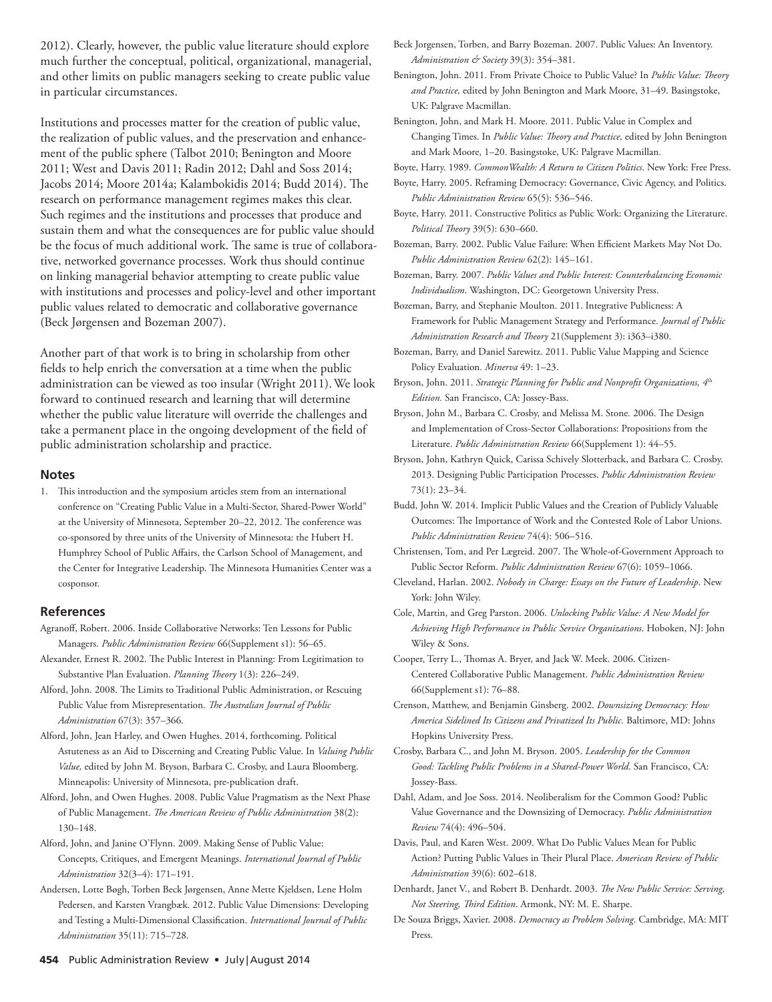2012). Clearly, however, the public value literature should explore much further the conceptual, political, organizational, managerial, and other limits on public managers seeking to create public value in particular circumstances.

Institutions and processes matter for the creation of public value, the realization of public values, and the preservation and enhancement of the public sphere (Talbot 2010; Benington and Moore 2011; West and Davis 2011; Radin 2012; Dahl and Soss 2014; Jacobs 2014; Moore 2014a; Kalambokidis 2014; Budd 2014). The research on performance management regimes makes this clear. Such regimes and the institutions and processes that produce and sustain them and what the consequences are for public value should be the focus of much additional work. The same is true of collaborative, networked governance processes. Work thus should continue on linking managerial behavior attempting to create public value with institutions and processes and policy-level and other important public values related to democratic and collaborative governance (Beck Jørgensen and Bozeman 2007).

Another part of that work is to bring in scholarship from other fields to help enrich the conversation at a time when the public administration can be viewed as too insular (Wright 2011).We look forward to continued research and learning that will determine whether the public value literature will override the challenges and take a permanent place in the ongoing development of the field of public administration scholarship and practice.

#### **Notes**

1. This introduction and the symposium articles stem from an international conference on "Creating Public Value in a Multi-Sector, Shared-Power World" at the University of Minnesota, September 20-22, 2012. The conference was co-sponsored by three units of the University of Minnesota: the Hubert H. Humphrey School of Public Affairs, the Carlson School of Management, and the Center for Integrative Leadership. The Minnesota Humanities Center was a cosponsor.

#### **References**

- Agranoff, Robert. 2006. Inside Collaborative Networks: Ten Lessons for Public Managers. *Public Administration Review* 66(Supplement s1): 56–65.
- Alexander, Ernest R. 2002. The Public Interest in Planning: From Legitimation to Substantive Plan Evaluation. *Planning Theory* 1(3): 226-249.
- Alford, John. 2008. The Limits to Traditional Public Administration, or Rescuing Public Value from Misrepresentation. *The Australian Journal of Public Administration* 67(3): 357–366.
- Alford, John, Jean Harley, and Owen Hughes. 2014, forthcoming. Political Astuteness as an Aid to Discerning and Creating Public Value. In *Valuing Public Value,* edited by John M. Bryson, Barbara C. Crosby, and Laura Bloomberg. Minneapolis: University of Minnesota, pre-publication draft.
- Alford, John, and Owen Hughes. 2008. Public Value Pragmatism as the Next Phase of Public Management. *The American Review of Public Administration* 38(2): 130–148.
- Alford, John, and Janine O'Flynn. 2009. Making Sense of Public Value: Concepts, Critiques, and Emergent Meanings. *International Journal of Public Administration* 32(3–4): 171–191.
- Andersen, Lotte Bøgh, Torben Beck Jørgensen, Anne Mette Kjeldsen, Lene Holm Pedersen, and Karsten Vrangbæk. 2012. Public Value Dimensions: Developing and Testing a Multi-Dimensional Classification. *International Journal of Public Administration* 35(11): 715–728.

Beck Jorgensen, Torben, and Barry Bozeman. 2007. Public Values: An Inventory. *Administration & Society* 39(3): 354–381.

- Benington, John. 2011. From Private Choice to Public Value? In *Public Value: Theory and Practice,* edited by John Benington and Mark Moore, 31–49. Basingstoke, UK: Palgrave Macmillan.
- Benington, John, and Mark H. Moore. 2011. Public Value in Complex and Changing Times. In *Public Value: Theory and Practice*, edited by John Benington and Mark Moore, 1–20. Basingstoke, UK: Palgrave Macmillan.
- Boyte, Harry. 1989. *CommonWealth: A Return to Citizen Politics*. New York: Free Press.
- Boyte, Harry. 2005. Reframing Democracy: Governance, Civic Agency, and Politics. *Public Administration Review* 65(5): 536–546.
- Boyte, Harry. 2011. Constructive Politics as Public Work: Organizing the Literature. *Political Th eory* 39(5): 630–660.
- Bozeman, Barry. 2002. Public Value Failure: When Efficient Markets May Not Do. *Public Administration Review* 62(2): 145–161.
- Bozeman, Barry. 2007. *Public Values and Public Interest: Counterbalancing Economic Individualism*. Washington, DC: Georgetown University Press.
- Bozeman, Barry, and Stephanie Moulton. 2011. Integrative Publicness: A Framework for Public Management Strategy and Performance. *Journal of Public*  Administration Research and Theory 21(Supplement 3): i363-i380.
- Bozeman, Barry, and Daniel Sarewitz. 2011. Public Value Mapping and Science Policy Evaluation*. Minerva* 49: 1–23.
- Bryson, John. 2011. *Strategic Planning for Public and Nonprofit Organizations*, 4<sup>th</sup> *Edition.* San Francisco, CA: Jossey-Bass.
- Bryson, John M., Barbara C. Crosby, and Melissa M. Stone. 2006. The Design and Implementation of Cross-Sector Collaborations: Propositions from the Literature. *Public Administration Review* 66(Supplement 1): 44–55.
- Bryson, John, Kathryn Quick, Carissa Schively Slotterback, and Barbara C. Crosby. 2013. Designing Public Participation Processes. *Public Administration Review*  73(1): 23–34.
- Budd, John W. 2014. Implicit Public Values and the Creation of Publicly Valuable Outcomes: The Importance of Work and the Contested Role of Labor Unions. *Public Administration Review* 74(4): 506–516.
- Christensen, Tom, and Per Lægreid. 2007. The Whole-of-Government Approach to Public Sector Reform. *Public Administration Review* 67(6): 1059–1066.
- Cleveland, Harlan. 2002. *Nobody in Charge: Essays on the Future of Leadership*. New York: John Wiley.
- Cole, Martin, and Greg Parston. 2006. *Unlocking Public Value: A New Model for Achieving High Performance in Public Service Organizations*. Hoboken, NJ: John Wiley & Sons.
- Cooper, Terry L., Thomas A. Bryer, and Jack W. Meek. 2006. Citizen-Centered Collaborative Public Management. *Public Administration Review*  66(Supplement s1): 76–88.
- Crenson, Matthew, and Benjamin Ginsberg. 2002. *Downsizing Democracy: How America Sidelined Its Citizens and Privatized Its Public.* Baltimore, MD: Johns Hopkins University Press.
- Crosby, Barbara C., and John M. Bryson. 2005. *Leadership for the Common Good: Tackling Public Problems in a Shared-Power World*. San Francisco, CA: Jossey-Bass.
- Dahl, Adam, and Joe Soss. 2014. Neoliberalism for the Common Good? Public Value Governance and the Downsizing of Democracy. *Public Administration Review* 74(4): 496–504.
- Davis, Paul, and Karen West. 2009. What Do Public Values Mean for Public Action? Putting Public Values in Their Plural Place. *American Review of Public Administration* 39(6): 602–618.
- Denhardt, Janet V., and Robert B. Denhardt. 2003. *The New Public Service: Serving*, *Not Steering, Th ird Edition*. Armonk, NY: M. E. Sharpe.
- De Souza Briggs, Xavier. 2008. *Democracy as Problem Solving*. Cambridge, MA: MIT Press.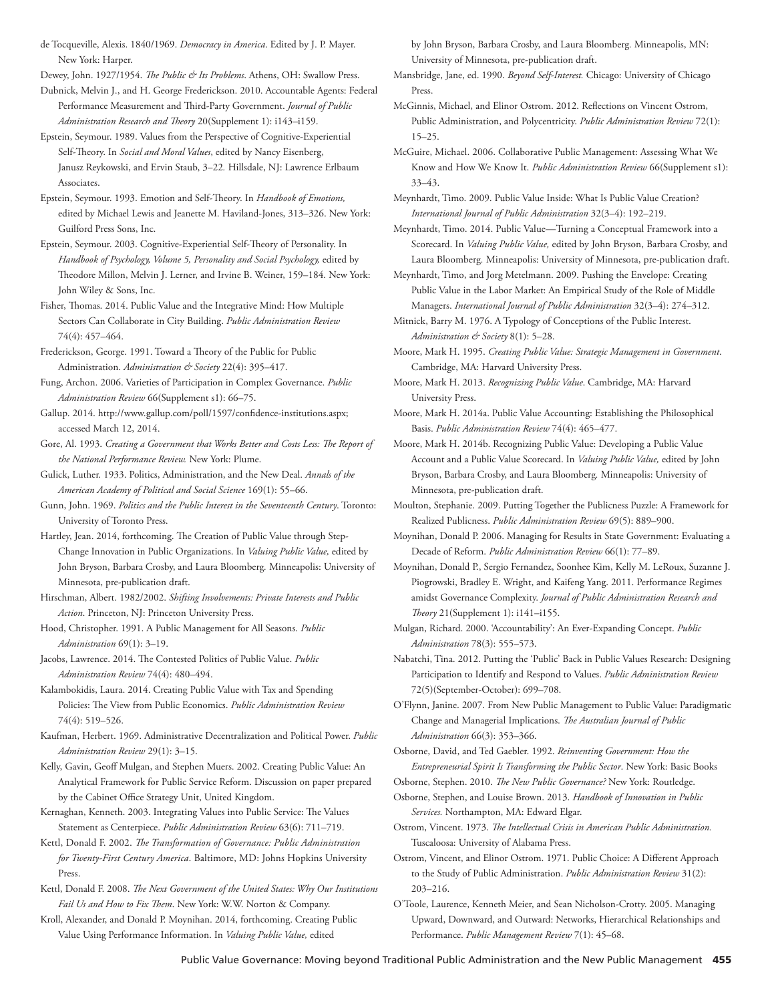de Tocqueville, Alexis. 1840/1969. *Democracy in America*. Edited by J. P. Mayer. New York: Harper.

Dewey, John. 1927/1954. *The Public & Its Problems*. Athens, OH: Swallow Press.

Dubnick, Melvin J., and H. George Frederickson. 2010. Accountable Agents: Federal Performance Measurement and Third-Party Government. *Journal of Public* Administration Research and Theory 20(Supplement 1): i143-i159.

Epstein, Seymour. 1989. Values from the Perspective of Cognitive-Experiential Self-Theory. In *Social and Moral Values*, edited by Nancy Eisenberg, Janusz Reykowski, and Ervin Staub, 3–22*.* Hillsdale, NJ: Lawrence Erlbaum Associates.

Epstein, Seymour. 1993. Emotion and Self-Theory. In *Handbook of Emotions*, edited by Michael Lewis and Jeanette M. Haviland-Jones, 313–326. New York: Guilford Press Sons, Inc.

Epstein, Seymour. 2003. Cognitive-Experiential Self-Theory of Personality. In *Handbook of Psychology, Volume 5, Personality and Social Psychology,* edited by Theodore Millon, Melvin J. Lerner, and Irvine B. Weiner, 159-184. New York: John Wiley & Sons, Inc.

Fisher, Thomas. 2014. Public Value and the Integrative Mind: How Multiple Sectors Can Collaborate in City Building. *Public Administration Review*  74(4): 457–464.

Frederickson, George. 1991. Toward a Theory of the Public for Public Administration. *Administration & Society* 22(4): 395–417.

Fung, Archon. 2006. Varieties of Participation in Complex Governance. *Public Administration Review* 66(Supplement s1): 66–75.

Gallup. 2014. http://www.gallup.com/poll/1597/confidence-institutions.aspx; accessed March 12, 2014.

Gore, Al. 1993. *Creating a Government that Works Better and Costs Less: The Report of the National Performance Review.* New York: Plume.

Gulick, Luther. 1933. Politics, Administration, and the New Deal. *Annals of the American Academy of Political and Social Science* 169(1): 55–66.

Gunn, John. 1969. *Politics and the Public Interest in the Seventeenth Century*. Toronto: University of Toronto Press.

Hartley, Jean. 2014, forthcoming. The Creation of Public Value through Step-Change Innovation in Public Organizations. In *Valuing Public Value,* edited by John Bryson, Barbara Crosby, and Laura Bloomberg*.* Minneapolis: University of Minnesota, pre-publication draft.

Hirschman, Albert. 1982/2002. *Shifting Involvements: Private Interests and Public Action*. Princeton, NJ: Princeton University Press.

Hood, Christopher. 1991. A Public Management for All Seasons. *Public Administration* 69(1): 3–19.

Jacobs, Lawrence. 2014. The Contested Politics of Public Value. *Public Administration Review* 74(4): 480–494.

Kalambokidis, Laura. 2014. Creating Public Value with Tax and Spending Policies: The View from Public Economics. *Public Administration Review* 74(4): 519–526.

Kaufman, Herbert. 1969. Administrative Decentralization and Political Power. *Public Administration Review* 29(1): 3–15.

Kelly, Gavin, Geoff Mulgan, and Stephen Muers. 2002. Creating Public Value: An Analytical Framework for Public Service Reform. Discussion on paper prepared by the Cabinet Office Strategy Unit, United Kingdom.

Kernaghan, Kenneth. 2003. Integrating Values into Public Service: The Values Statement as Centerpiece. *Public Administration Review* 63(6): 711–719.

Kettl, Donald F. 2002. *The Transformation of Governance: Public Administration for Twenty-First Century America*. Baltimore, MD: Johns Hopkins University Press.

Kettl, Donald F. 2008. *The Next Government of the United States: Why Our Institutions* Fail Us and How to Fix Them. New York: W.W. Norton & Company.

Kroll, Alexander, and Donald P. Moynihan. 2014, forthcoming. Creating Public Value Using Performance Information. In *Valuing Public Value,* edited

by John Bryson, Barbara Crosby, and Laura Bloomberg*.* Minneapolis, MN: University of Minnesota, pre-publication draft.

Mansbridge, Jane, ed. 1990. *Beyond Self-Interest.* Chicago: University of Chicago Press.

McGinnis, Michael, and Elinor Ostrom. 2012. Reflections on Vincent Ostrom, Public Administration, and Polycentricity. *Public Administration Review* 72(1): 15–25.

McGuire, Michael. 2006. Collaborative Public Management: Assessing What We Know and How We Know It. *Public Administration Review* 66(Supplement s1): 33–43.

Meynhardt, Timo. 2009. Public Value Inside: What Is Public Value Creation? *International Journal of Public Administration* 32(3–4): 192–219.

Meynhardt, Timo. 2014. Public Value—Turning a Conceptual Framework into a Scorecard. In *Valuing Public Value,* edited by John Bryson, Barbara Crosby, and Laura Bloomberg*.* Minneapolis: University of Minnesota, pre-publication draft.

Meynhardt, Timo, and Jorg Metelmann. 2009. Pushing the Envelope: Creating Public Value in the Labor Market: An Empirical Study of the Role of Middle Managers. *International Journal of Public Administration* 32(3–4): 274–312.

Mitnick, Barry M. 1976. A Typology of Conceptions of the Public Interest. *Administration & Society* 8(1): 5–28.

Moore, Mark H. 1995. *Creating Public Value: Strategic Management in Government*. Cambridge, MA: Harvard University Press.

Moore, Mark H. 2013. *Recognizing Public Value*. Cambridge, MA: Harvard University Press.

Moore, Mark H. 2014a. Public Value Accounting: Establishing the Philosophical Basis. *Public Administration Review* 74(4): 465–477.

Moore, Mark H. 2014b. Recognizing Public Value: Developing a Public Value Account and a Public Value Scorecard. In *Valuing Public Value,* edited by John Bryson, Barbara Crosby, and Laura Bloomberg*.* Minneapolis: University of Minnesota, pre-publication draft.

Moulton, Stephanie. 2009. Putting Together the Publicness Puzzle: A Framework for Realized Publicness. *Public Administration Review* 69(5): 889–900.

Moynihan, Donald P. 2006. Managing for Results in State Government: Evaluating a Decade of Reform. *Public Administration Review* 66(1): 77–89.

Moynihan, Donald P., Sergio Fernandez, Soonhee Kim, Kelly M. LeRoux, Suzanne J. Piogrowski, Bradley E. Wright, and Kaifeng Yang. 2011. Performance Regimes amidst Governance Complexity. *Journal of Public Administration Research and Theory* 21(Supplement 1): i141-i155.

Mulgan, Richard. 2000. 'Accountability': An Ever-Expanding Concept. *Public Administration* 78(3): 555–573.

Nabatchi, Tina. 2012. Putting the 'Public' Back in Public Values Research: Designing Participation to Identify and Respond to Values. *Public Administration Review* 72(5)(September-October): 699–708.

O'Flynn, Janine. 2007. From New Public Management to Public Value: Paradigmatic Change and Managerial Implications. *The Australian Journal of Public Administration* 66(3): 353–366.

Osborne, David, and Ted Gaebler. 1992. *Reinventing Government: How the Entrepreneurial Spirit Is Transforming the Public Sector*. New York: Basic Books

Osborne, Stephen. 2010. *The New Public Governance?* New York: Routledge.

Osborne, Stephen, and Louise Brown. 2013. *Handbook of Innovation in Public Services.* Northampton, MA: Edward Elgar.

Ostrom, Vincent. 1973. *The Intellectual Crisis in American Public Administration*. Tuscaloosa: University of Alabama Press.

Ostrom, Vincent, and Elinor Ostrom. 1971. Public Choice: A Different Approach to the Study of Public Administration. *Public Administration Review* 31(2): 203–216.

O'Toole, Laurence, Kenneth Meier, and Sean Nicholson-Crotty. 2005. Managing Upward, Downward, and Outward: Networks, Hierarchical Relationships and Performance. *Public Management Review* 7(1): 45–68.